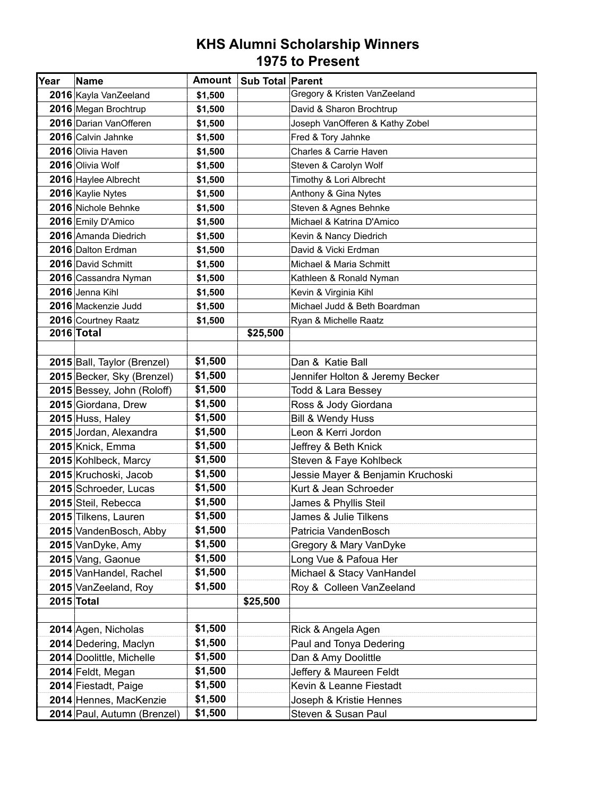| Year | Name                        | Amount  | <b>Sub Total Parent</b> |                                   |
|------|-----------------------------|---------|-------------------------|-----------------------------------|
|      | 2016 Kayla VanZeeland       | \$1,500 |                         | Gregory & Kristen VanZeeland      |
|      | 2016 Megan Brochtrup        | \$1,500 |                         | David & Sharon Brochtrup          |
|      | 2016 Darian VanOfferen      | \$1,500 |                         | Joseph VanOfferen & Kathy Zobel   |
|      | 2016 Calvin Jahnke          | \$1,500 |                         | Fred & Tory Jahnke                |
|      | 2016 Olivia Haven           | \$1,500 |                         | Charles & Carrie Haven            |
|      | 2016 Olivia Wolf            | \$1,500 |                         | Steven & Carolyn Wolf             |
|      | 2016 Haylee Albrecht        | \$1,500 |                         | Timothy & Lori Albrecht           |
|      | 2016 Kaylie Nytes           | \$1,500 |                         | Anthony & Gina Nytes              |
|      | 2016 Nichole Behnke         | \$1,500 |                         | Steven & Agnes Behnke             |
|      | 2016 Emily D'Amico          | \$1,500 |                         | Michael & Katrina D'Amico         |
|      | 2016 Amanda Diedrich        | \$1,500 |                         | Kevin & Nancy Diedrich            |
|      | 2016 Dalton Erdman          | \$1,500 |                         | David & Vicki Erdman              |
|      | 2016 David Schmitt          | \$1,500 |                         | Michael & Maria Schmitt           |
|      | 2016 Cassandra Nyman        | \$1,500 |                         | Kathleen & Ronald Nyman           |
|      | 2016 Jenna Kihl             | \$1,500 |                         | Kevin & Virginia Kihl             |
|      | 2016 Mackenzie Judd         | \$1,500 |                         | Michael Judd & Beth Boardman      |
|      | 2016 Courtney Raatz         | \$1,500 |                         | Ryan & Michelle Raatz             |
|      | 2016 Total                  |         | \$25,500                |                                   |
|      |                             |         |                         |                                   |
|      | 2015 Ball, Taylor (Brenzel) | \$1,500 |                         | Dan & Katie Ball                  |
|      | 2015 Becker, Sky (Brenzel)  | \$1,500 |                         | Jennifer Holton & Jeremy Becker   |
|      | 2015 Bessey, John (Roloff)  | \$1,500 |                         | Todd & Lara Bessey                |
|      | 2015 Giordana, Drew         | \$1,500 |                         | Ross & Jody Giordana              |
|      | 2015 Huss, Haley            | \$1,500 |                         | Bill & Wendy Huss                 |
|      | 2015 Jordan, Alexandra      | \$1,500 |                         | Leon & Kerri Jordon               |
|      | 2015 Knick, Emma            | \$1,500 |                         | Jeffrey & Beth Knick              |
|      | 2015 Kohlbeck, Marcy        | \$1,500 |                         | Steven & Faye Kohlbeck            |
|      | 2015 Kruchoski, Jacob       | \$1,500 |                         | Jessie Mayer & Benjamin Kruchoski |
|      | 2015 Schroeder, Lucas       | \$1,500 |                         | Kurt & Jean Schroeder             |
|      | 2015 Steil, Rebecca         | \$1,500 |                         | James & Phyllis Steil             |
|      | 2015 Tilkens, Lauren        | \$1,500 |                         | James & Julie Tilkens             |
|      | 2015 VandenBosch, Abby      | \$1,500 |                         | Patricia VandenBosch              |
|      | 2015 VanDyke, Amy           | \$1,500 |                         | Gregory & Mary VanDyke            |
|      | 2015 Vang, Gaonue           | \$1,500 |                         | Long Vue & Pafoua Her             |
|      | 2015 VanHandel, Rachel      | \$1,500 |                         | Michael & Stacy VanHandel         |
|      | 2015 VanZeeland, Roy        | \$1,500 |                         | Roy & Colleen VanZeeland          |
|      | 2015 Total                  |         | \$25,500                |                                   |
|      |                             |         |                         |                                   |
|      | 2014 Agen, Nicholas         | \$1,500 |                         | Rick & Angela Agen                |
|      | 2014 Dedering, Maclyn       | \$1,500 |                         | Paul and Tonya Dedering           |
|      | 2014 Doolittle, Michelle    | \$1,500 |                         | Dan & Amy Doolittle               |
|      | 2014 Feldt, Megan           | \$1,500 |                         | Jeffery & Maureen Feldt           |
|      | 2014 Fiestadt, Paige        | \$1,500 |                         | Kevin & Leanne Fiestadt           |
|      | 2014 Hennes, MacKenzie      | \$1,500 |                         | Joseph & Kristie Hennes           |
|      | 2014 Paul, Autumn (Brenzel) | \$1,500 |                         | Steven & Susan Paul               |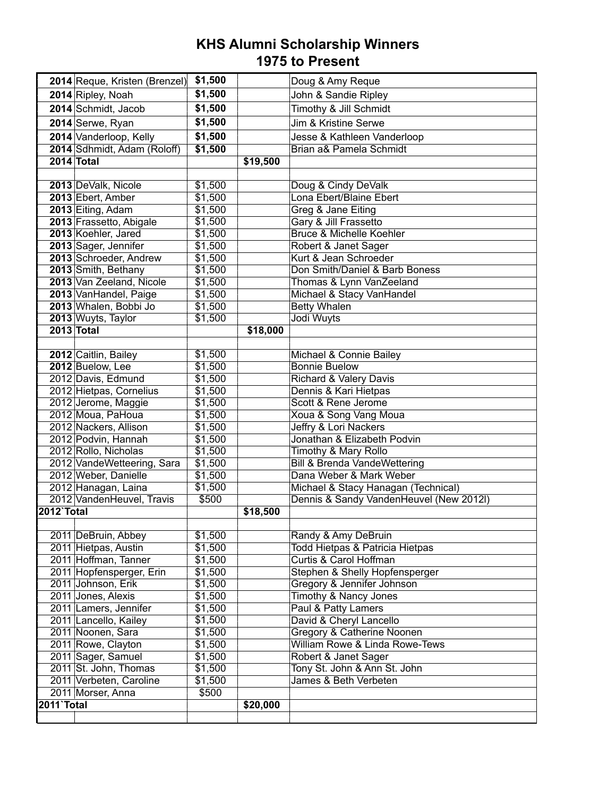|                   | 2014 Reque, Kristen (Brenzel)               | \$1,500 |          | Doug & Amy Reque                                       |
|-------------------|---------------------------------------------|---------|----------|--------------------------------------------------------|
|                   | 2014 Ripley, Noah                           | \$1,500 |          | John & Sandie Ripley                                   |
|                   | 2014 Schmidt, Jacob                         | \$1,500 |          | Timothy & Jill Schmidt                                 |
|                   | 2014 Serwe, Ryan                            | \$1,500 |          | Jim & Kristine Serwe                                   |
|                   | 2014 Vanderloop, Kelly                      | \$1,500 |          | Jesse & Kathleen Vanderloop                            |
|                   | 2014 Sdhmidt, Adam (Roloff)                 | \$1,500 |          | Brian a& Pamela Schmidt                                |
| 2014 Total        |                                             |         | \$19,500 |                                                        |
|                   |                                             |         |          |                                                        |
|                   | 2013 DeValk, Nicole                         | \$1,500 |          | Doug & Cindy DeValk                                    |
|                   | 2013 Ebert, Amber                           | \$1,500 |          | Lona Ebert/Blaine Ebert                                |
|                   | 2013 Eiting, Adam                           | \$1,500 |          | Greg & Jane Eiting                                     |
|                   | 2013 Frassetto, Abigale                     | \$1,500 |          | Gary & Jill Frassetto                                  |
|                   | 2013 Koehler, Jared                         | \$1,500 |          | <b>Bruce &amp; Michelle Koehler</b>                    |
|                   | 2013 Sager, Jennifer                        | \$1,500 |          | Robert & Janet Sager                                   |
|                   | 2013 Schroeder, Andrew                      | \$1,500 |          | Kurt & Jean Schroeder                                  |
|                   | 2013 Smith, Bethany                         | \$1,500 |          | Don Smith/Daniel & Barb Boness                         |
|                   | 2013 Van Zeeland, Nicole                    | \$1,500 |          | Thomas & Lynn VanZeeland                               |
|                   | 2013 VanHandel, Paige                       | \$1,500 |          | Michael & Stacy VanHandel                              |
|                   | 2013 Whalen, Bobbi Jo                       | \$1,500 |          | <b>Betty Whalen</b>                                    |
| <b>2013 Total</b> | 2013 Wuyts, Taylor                          | \$1,500 | \$18,000 | Jodi Wuyts                                             |
|                   |                                             |         |          |                                                        |
|                   | 2012 Caitlin, Bailey                        | \$1,500 |          | Michael & Connie Bailey                                |
|                   | 2012 Buelow, Lee                            | \$1,500 |          | <b>Bonnie Buelow</b>                                   |
|                   | 2012 Davis, Edmund                          | \$1,500 |          | <b>Richard &amp; Valery Davis</b>                      |
|                   | 2012 Hietpas, Cornelius                     | \$1,500 |          | Dennis & Kari Hietpas                                  |
|                   | 2012 Jerome, Maggie                         | \$1,500 |          | Scott & Rene Jerome                                    |
|                   | 2012 Moua, PaHoua                           | \$1,500 |          | Xoua & Song Vang Moua                                  |
|                   | 2012 Nackers, Allison                       | \$1,500 |          | <b>Jeffry &amp; Lori Nackers</b>                       |
|                   | 2012 Podvin, Hannah                         | \$1,500 |          | Jonathan & Elizabeth Podvin                            |
|                   | 2012 Rollo, Nicholas                        | \$1,500 |          | Timothy & Mary Rollo                                   |
|                   | 2012 VandeWetteering, Sara                  | \$1,500 |          | <b>Bill &amp; Brenda VandeWettering</b>                |
|                   | 2012 Weber, Danielle                        | \$1,500 |          | Dana Weber & Mark Weber                                |
|                   | 2012 Hanagan, Laina                         | \$1,500 |          | Michael & Stacy Hanagan (Technical)                    |
|                   | 2012 VandenHeuvel, Travis                   | \$500   |          | Dennis & Sandy VandenHeuvel (New 2012l)                |
| <b>2012 Total</b> |                                             |         | \$18,500 |                                                        |
|                   |                                             | \$1,500 |          |                                                        |
|                   | 2011 DeBruin, Abbey<br>2011 Hietpas, Austin | \$1,500 |          | Randy & Amy DeBruin<br>Todd Hietpas & Patricia Hietpas |
|                   | 2011 Hoffman, Tanner                        | \$1,500 |          | Curtis & Carol Hoffman                                 |
|                   | 2011 Hopfensperger, Erin                    | \$1,500 |          | Stephen & Shelly Hopfensperger                         |
|                   | 2011 Johnson, Erik                          | \$1,500 |          | Gregory & Jennifer Johnson                             |
|                   | 2011 Jones, Alexis                          | \$1,500 |          | <b>Timothy &amp; Nancy Jones</b>                       |
|                   | 2011 Lamers, Jennifer                       | \$1,500 |          | Paul & Patty Lamers                                    |
|                   | 2011 Lancello, Kailey                       | \$1,500 |          | David & Cheryl Lancello                                |
|                   | 2011 Noonen, Sara                           | \$1,500 |          | Gregory & Catherine Noonen                             |
|                   | 2011 Rowe, Clayton                          | \$1,500 |          | <b>William Rowe &amp; Linda Rowe-Tews</b>              |
|                   | 2011 Sager, Samuel                          | \$1,500 |          | Robert & Janet Sager                                   |
|                   | 2011 St. John, Thomas                       | \$1,500 |          | Tony St. John & Ann St. John                           |
|                   | 2011 Verbeten, Caroline                     | \$1,500 |          | James & Beth Verbeten                                  |
|                   | 2011 Morser, Anna                           | \$500   |          |                                                        |
| 2011 Total        |                                             |         | \$20,000 |                                                        |
|                   |                                             |         |          |                                                        |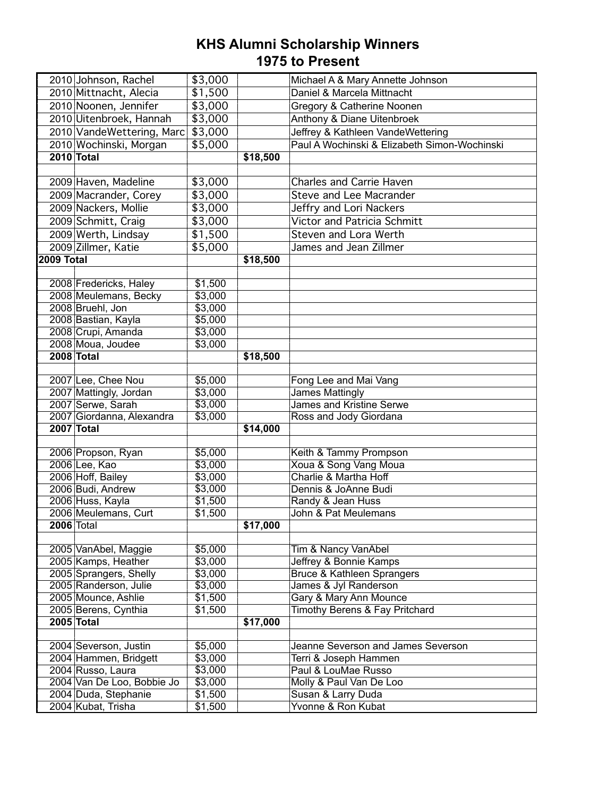|            | 2010 Johnson, Rachel                    | \$3,000 |          | Michael A & Mary Annette Johnson             |
|------------|-----------------------------------------|---------|----------|----------------------------------------------|
|            | 2010 Mittnacht, Alecia                  | \$1,500 |          | Daniel & Marcela Mittnacht                   |
|            | 2010 Noonen, Jennifer                   | \$3,000 |          | Gregory & Catherine Noonen                   |
|            | 2010 Uitenbroek, Hannah                 | \$3,000 |          | Anthony & Diane Uitenbroek                   |
|            | 2010 VandeWettering, Marc               | \$3,000 |          | Jeffrey & Kathleen VandeWettering            |
|            | 2010 Wochinski, Morgan                  | \$5,000 |          | Paul A Wochinski & Elizabeth Simon-Wochinski |
|            | <b>2010 Total</b>                       |         | \$18,500 |                                              |
|            |                                         |         |          |                                              |
|            | 2009 Haven, Madeline                    | \$3,000 |          | <b>Charles and Carrie Haven</b>              |
|            | 2009 Macrander, Corey                   | \$3,000 |          | Steve and Lee Macrander                      |
|            | 2009 Nackers, Mollie                    | \$3,000 |          | Jeffry and Lori Nackers                      |
|            | 2009 Schmitt, Craig                     | \$3,000 |          | <b>Victor and Patricia Schmitt</b>           |
|            | 2009 Werth, Lindsay                     | \$1,500 |          | <b>Steven and Lora Werth</b>                 |
|            | 2009 Zillmer, Katie                     | \$5,000 |          | James and Jean Zillmer                       |
| 2009 Total |                                         |         | \$18,500 |                                              |
|            |                                         |         |          |                                              |
|            | 2008 Fredericks, Haley                  | \$1,500 |          |                                              |
|            | 2008 Meulemans, Becky                   | \$3,000 |          |                                              |
|            | 2008 Bruehl, Jon                        | \$3,000 |          |                                              |
|            | 2008 Bastian, Kayla                     | \$5,000 |          |                                              |
|            | 2008 Crupi, Amanda                      | \$3,000 |          |                                              |
|            | 2008 Moua, Joudee                       | \$3,000 |          |                                              |
|            | 2008 Total                              |         | \$18,500 |                                              |
|            |                                         |         |          |                                              |
|            | 2007 Lee, Chee Nou                      | \$5,000 |          | Fong Lee and Mai Vang                        |
|            | 2007 Mattingly, Jordan                  | \$3,000 |          | <b>James Mattingly</b>                       |
|            | 2007 Serwe, Sarah                       | \$3,000 |          | <b>James and Kristine Serwe</b>              |
|            | 2007 Giordanna, Alexandra<br>2007 Total | \$3,000 | \$14,000 | Ross and Jody Giordana                       |
|            |                                         |         |          |                                              |
|            | 2006 Propson, Ryan                      | \$5,000 |          | Keith & Tammy Prompson                       |
|            | 2006 Lee, Kao                           | \$3,000 |          | Xoua & Song Vang Moua                        |
|            | 2006 Hoff, Bailey                       | \$3,000 |          | <b>Charlie &amp; Martha Hoff</b>             |
|            | 2006 Budi, Andrew                       | \$3,000 |          | Dennis & JoAnne Budi                         |
|            | 2006 Huss, Kayla                        | \$1,500 |          | Randy & Jean Huss                            |
|            | 2006 Meulemans, Curt                    | \$1,500 |          | John & Pat Meulemans                         |
|            | <b>2006 Total</b>                       |         | \$17,000 |                                              |
|            |                                         |         |          |                                              |
|            | 2005 VanAbel, Maggie                    | \$5,000 |          | Tim & Nancy VanAbel                          |
|            | 2005 Kamps, Heather                     | \$3,000 |          | Jeffrey & Bonnie Kamps                       |
|            | 2005 Sprangers, Shelly                  | \$3,000 |          | <b>Bruce &amp; Kathleen Sprangers</b>        |
|            | 2005 Randerson, Julie                   | \$3,000 |          | James & Jyl Randerson                        |
|            | 2005 Mounce, Ashlie                     | \$1,500 |          | Gary & Mary Ann Mounce                       |
|            | 2005 Berens, Cynthia                    | \$1,500 |          | Timothy Berens & Fay Pritchard               |
|            | <b>2005 Total</b>                       |         | \$17,000 |                                              |
|            | 2004 Severson, Justin                   | \$5,000 |          | Jeanne Severson and James Severson           |
|            | 2004 Hammen, Bridgett                   | \$3,000 |          | Terri & Joseph Hammen                        |
|            | 2004 Russo, Laura                       | \$3,000 |          | Paul & LouMae Russo                          |
|            | 2004 Van De Loo, Bobbie Jo              | \$3,000 |          | Molly & Paul Van De Loo                      |
|            | 2004 Duda, Stephanie                    | \$1,500 |          | Susan & Larry Duda                           |
|            |                                         |         |          |                                              |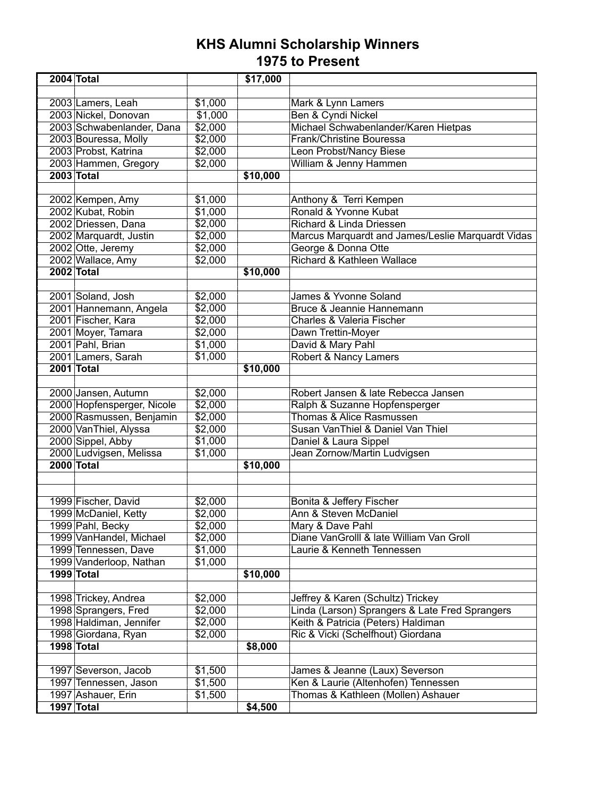| 2004 Total                            |                    | \$17,000 |                                                   |
|---------------------------------------|--------------------|----------|---------------------------------------------------|
|                                       |                    |          |                                                   |
| 2003 Lamers, Leah                     | \$1,000            |          | Mark & Lynn Lamers                                |
| 2003 Nickel, Donovan                  | \$1,000            |          | Ben & Cyndi Nickel                                |
| 2003 Schwabenlander, Dana             | \$2,000            |          | Michael Schwabenlander/Karen Hietpas              |
| 2003 Bouressa, Molly                  | \$2,000            |          | Frank/Christine Bouressa                          |
| 2003 Probst, Katrina                  | \$2,000            |          | Leon Probst/Nancy Biese                           |
| 2003 Hammen, Gregory                  | \$2,000            |          | William & Jenny Hammen                            |
| <b>2003 Total</b>                     |                    | \$10,000 |                                                   |
|                                       |                    |          |                                                   |
| 2002 Kempen, Amy                      | \$1,000            |          | Anthony & Terri Kempen                            |
| 2002 Kubat, Robin                     | \$1,000            |          | Ronald & Yvonne Kubat                             |
| 2002 Driessen, Dana                   | \$2,000            |          | Richard & Linda Driessen                          |
| 2002 Marquardt, Justin                | \$2,000            |          | Marcus Marquardt and James/Leslie Marquardt Vidas |
| 2002 Otte, Jeremy                     | \$2,000            |          | George & Donna Otte                               |
| 2002 Wallace, Amy                     | \$2,000            |          | Richard & Kathleen Wallace                        |
| 2002 Total                            |                    | \$10,000 |                                                   |
|                                       |                    |          |                                                   |
| 2001 Soland, Josh                     | \$2,000            |          | James & Yvonne Soland                             |
| 2001 Hannemann, Angela                | \$2,000            |          | Bruce & Jeannie Hannemann                         |
| 2001 Fischer, Kara                    | \$2,000            |          | <b>Charles &amp; Valeria Fischer</b>              |
| 2001 Moyer, Tamara                    | \$2,000            |          | Dawn Trettin-Moyer                                |
| 2001 Pahl, Brian                      | \$1,000            |          | David & Mary Pahl                                 |
| 2001 Lamers, Sarah                    | \$1,000            |          | Robert & Nancy Lamers                             |
| 2001 Total                            |                    | \$10,000 |                                                   |
|                                       |                    |          |                                                   |
| 2000 Jansen, Autumn                   | \$2,000            |          | Robert Jansen & late Rebecca Jansen               |
| 2000 Hopfensperger, Nicole            | \$2,000            |          | Ralph & Suzanne Hopfensperger                     |
| 2000 Rasmussen, Benjamin              | \$2,000            |          | Thomas & Alice Rasmussen                          |
| 2000 VanThiel, Alyssa                 | \$2,000            |          | Susan VanThiel & Daniel Van Thiel                 |
| 2000 Sippel, Abby                     | \$1,000<br>\$1,000 |          | Daniel & Laura Sippel                             |
| 2000 Ludvigsen, Melissa<br>2000 Total |                    |          | Jean Zornow/Martin Ludvigsen                      |
|                                       |                    | \$10,000 |                                                   |
|                                       |                    |          |                                                   |
| 1999 Fischer, David                   | \$2,000            |          | Bonita & Jeffery Fischer                          |
| 1999 McDaniel, Ketty                  | \$2,000            |          | Ann & Steven McDaniel                             |
| 1999 Pahl, Becky                      | \$2,000            |          | Mary & Dave Pahl                                  |
| 1999 VanHandel, Michael               | \$2,000            |          | Diane VanGrolll & late William Van Groll          |
| 1999 Tennessen, Dave                  | \$1,000            |          | Laurie & Kenneth Tennessen                        |
| 1999 Vanderloop, Nathan               | \$1,000            |          |                                                   |
| 1999 Total                            |                    | \$10,000 |                                                   |
|                                       |                    |          |                                                   |
| 1998 Trickey, Andrea                  | \$2,000            |          | Jeffrey & Karen (Schultz) Trickey                 |
| 1998 Sprangers, Fred                  | \$2,000            |          | Linda (Larson) Sprangers & Late Fred Sprangers    |
| 1998 Haldiman, Jennifer               | \$2,000            |          | Keith & Patricia (Peters) Haldiman                |
| 1998 Giordana, Ryan                   | \$2,000            |          | Ric & Vicki (Schelfhout) Giordana                 |
| 1998 Total                            |                    | \$8,000  |                                                   |
|                                       |                    |          |                                                   |
| 1997 Severson, Jacob                  | \$1,500            |          | James & Jeanne (Laux) Severson                    |
| 1997 Tennessen, Jason                 | \$1,500            |          | Ken & Laurie (Altenhofen) Tennessen               |
| 1997 Ashauer, Erin                    | \$1,500            |          | Thomas & Kathleen (Mollen) Ashauer                |
| 1997 Total                            |                    | \$4,500  |                                                   |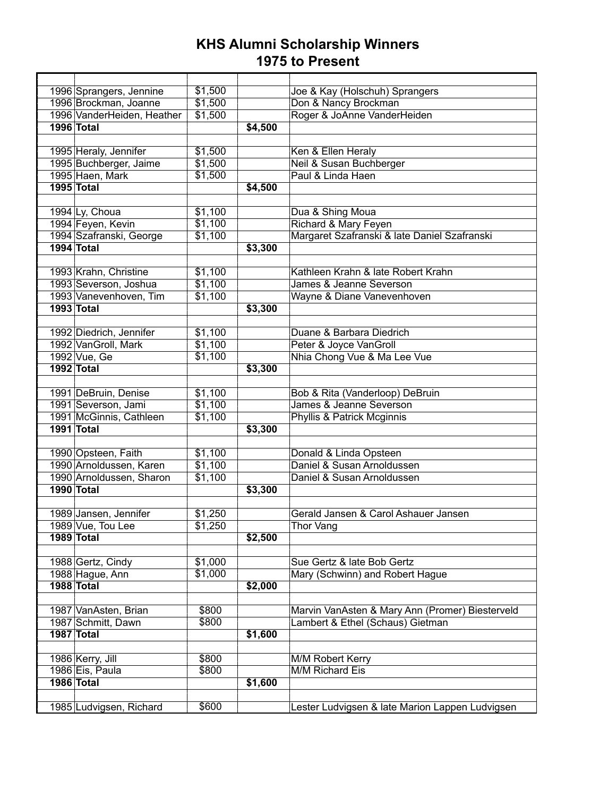| 1996 Sprangers, Jennine    | \$1,500 |         | Joe & Kay (Holschuh) Sprangers                  |
|----------------------------|---------|---------|-------------------------------------------------|
| 1996 Brockman, Joanne      | \$1,500 |         | Don & Nancy Brockman                            |
| 1996 VanderHeiden, Heather | \$1,500 |         | Roger & JoAnne VanderHeiden                     |
| <b>1996 Total</b>          |         | \$4,500 |                                                 |
|                            |         |         |                                                 |
| 1995 Heraly, Jennifer      | \$1,500 |         | Ken & Ellen Heraly                              |
| 1995 Buchberger, Jaime     | \$1,500 |         | Neil & Susan Buchberger                         |
| 1995 Haen, Mark            | \$1,500 |         | Paul & Linda Haen                               |
| <b>1995 Total</b>          |         | \$4,500 |                                                 |
|                            |         |         |                                                 |
| 1994 Ly, Choua             | \$1,100 |         | Dua & Shing Moua                                |
| 1994 Feyen, Kevin          | \$1,100 |         | Richard & Mary Feyen                            |
| 1994 Szafranski, George    | \$1,100 |         | Margaret Szafranski & late Daniel Szafranski    |
| 1994 Total                 |         | \$3,300 |                                                 |
|                            |         |         |                                                 |
| 1993 Krahn, Christine      | \$1,100 |         | Kathleen Krahn & late Robert Krahn              |
| 1993 Severson, Joshua      | \$1,100 |         | James & Jeanne Severson                         |
| 1993 Vanevenhoven, Tim     | \$1,100 |         | Wayne & Diane Vanevenhoven                      |
| 1993 Total                 |         | \$3,300 |                                                 |
|                            |         |         |                                                 |
| 1992 Diedrich, Jennifer    | \$1,100 |         | Duane & Barbara Diedrich                        |
| 1992 VanGroll, Mark        | \$1,100 |         | Peter & Joyce VanGroll                          |
| 1992 Vue, Ge               | \$1,100 |         | Nhia Chong Vue & Ma Lee Vue                     |
| 1992 Total                 |         | \$3,300 |                                                 |
|                            |         |         |                                                 |
| 1991 DeBruin, Denise       | \$1,100 |         | Bob & Rita (Vanderloop) DeBruin                 |
| 1991 Severson, Jami        | \$1,100 |         | James & Jeanne Severson                         |
| 1991 McGinnis, Cathleen    | \$1,100 |         | Phyllis & Patrick Mcginnis                      |
| 1991 Total                 |         | \$3,300 |                                                 |
|                            |         |         |                                                 |
| 1990 Opsteen, Faith        | \$1,100 |         | Donald & Linda Opsteen                          |
| 1990 Arnoldussen, Karen    | \$1,100 |         | Daniel & Susan Arnoldussen                      |
| 1990 Arnoldussen, Sharon   | \$1,100 |         | Daniel & Susan Arnoldussen                      |
| 1990 Total                 |         | \$3,300 |                                                 |
|                            |         |         |                                                 |
| 1989 Jansen, Jennifer      | \$1,250 |         | Gerald Jansen & Carol Ashauer Jansen            |
| 1989 Vue, Tou Lee          | \$1,250 |         | Thor Vang                                       |
| 1989 Total                 |         | \$2,500 |                                                 |
|                            |         |         |                                                 |
| 1988 Gertz, Cindy          | \$1,000 |         | Sue Gertz & late Bob Gertz                      |
| 1988 Hague, Ann            | \$1,000 |         | Mary (Schwinn) and Robert Hague                 |
| 1988 Total                 |         | \$2,000 |                                                 |
|                            |         |         |                                                 |
| 1987 VanAsten, Brian       | \$800   |         | Marvin VanAsten & Mary Ann (Promer) Biesterveld |
| 1987 Schmitt, Dawn         | \$800   |         | Lambert & Ethel (Schaus) Gietman                |
| 1987 Total                 |         | \$1,600 |                                                 |
|                            |         |         |                                                 |
| 1986 Kerry, Jill           | \$800   |         | M/M Robert Kerry                                |
| 1986 Eis, Paula            | \$800   |         | M/M Richard Eis                                 |
| <b>1986 Total</b>          |         | \$1,600 |                                                 |
|                            |         |         |                                                 |
| 1985 Ludvigsen, Richard    | \$600   |         | Lester Ludvigsen & late Marion Lappen Ludvigsen |